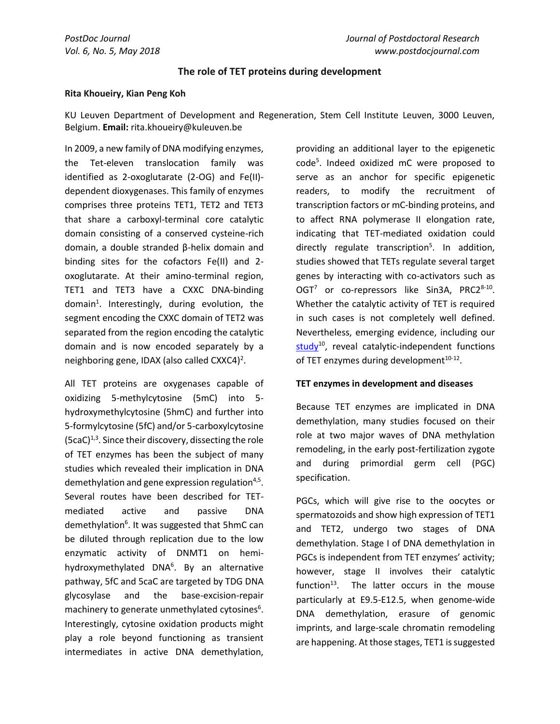## **The role of TET proteins during development**

## **Rita Khoueiry, Kian Peng Koh**

KU Leuven Department of Development and Regeneration, Stem Cell Institute Leuven, 3000 Leuven, Belgium. **Email:** rita.khoueiry@kuleuven.be

In 2009, a new family of DNA modifying enzymes, the Tet-eleven translocation family was identified as 2-oxoglutarate (2-OG) and Fe(II) dependent dioxygenases. This family of enzymes comprises three proteins TET1, TET2 and TET3 that share a carboxyl-terminal core catalytic domain consisting of a conserved cysteine-rich domain, a double stranded β-helix domain and binding sites for the cofactors Fe(II) and 2 oxoglutarate. At their amino-terminal region, TET1 and TET3 have a CXXC DNA-binding domain<sup>1</sup>. Interestingly, during evolution, the segment encoding the CXXC domain of TET2 was separated from the region encoding the catalytic domain and is now encoded separately by a neighboring gene, IDAX (also called CXXC4)<sup>2</sup>.

All TET proteins are oxygenases capable of oxidizing 5-methylcytosine (5mC) into 5 hydroxymethylcytosine (5hmC) and further into 5-formylcytosine (5fC) and/or 5-carboxylcytosine  $(5caC)^{1,3}$ . Since their discovery, dissecting the role of TET enzymes has been the subject of many studies which revealed their implication in DNA demethylation and gene expression regulation<sup>4,5</sup>. Several routes have been described for TETmediated active and passive DNA demethylation<sup>6</sup>. It was suggested that 5hmC can be diluted through replication due to the low enzymatic activity of DNMT1 on hemihydroxymethylated DNA<sup>6</sup>. By an alternative pathway, 5fC and 5caC are targeted by TDG DNA glycosylase and the base-excision-repair machinery to generate unmethylated cytosines $6$ . Interestingly, cytosine oxidation products might play a role beyond functioning as transient intermediates in active DNA demethylation,

providing an additional layer to the epigenetic code<sup>5</sup>. Indeed oxidized mC were proposed to serve as an anchor for specific epigenetic readers, to modify the recruitment of transcription factors or mC-binding proteins, and to affect RNA polymerase II elongation rate, indicating that TET-mediated oxidation could directly regulate transcription<sup>5</sup>. In addition, studies showed that TETs regulate several target genes by interacting with co-activators such as OGT<sup>7</sup> or co-repressors like Sin3A, PRC2<sup>8-10</sup>. Whether the catalytic activity of TET is required in such cases is not completely well defined. Nevertheless, emerging evidence, including our [study](http://www.postdocjournal.com/archives/2919/the-many-roles-of-tet1-in-the-post-implantation-mouse-embryo.htm)<sup>10</sup>, reveal catalytic-independent functions of TET enzymes during development<sup>10-12</sup>.

## **TET enzymes in development and diseases**

Because TET enzymes are implicated in DNA demethylation, many studies focused on their role at two major waves of DNA methylation remodeling, in the early post-fertilization zygote and during primordial germ cell (PGC) specification.

PGCs, which will give rise to the oocytes or spermatozoids and show high expression of TET1 and TET2, undergo two stages of DNA demethylation. Stage I of DNA demethylation in PGCs is independent from TET enzymes' activity; however, stage II involves their catalytic function $13$ . The latter occurs in the mouse particularly at E9.5-E12.5, when genome-wide DNA demethylation, erasure of genomic imprints, and large-scale chromatin remodeling are happening. At those stages, TET1 is suggested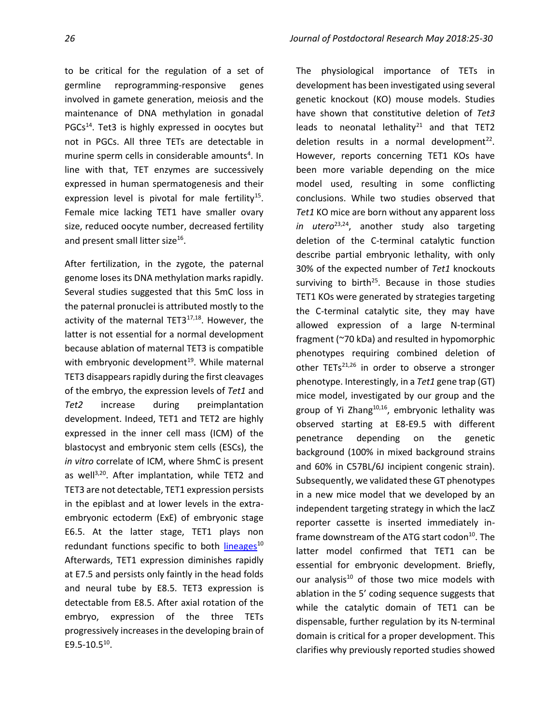to be critical for the regulation of a set of germline reprogramming-responsive genes involved in gamete generation, meiosis and the maintenance of DNA methylation in gonadal PGCs<sup>14</sup>. Tet3 is highly expressed in oocytes but not in PGCs. All three TETs are detectable in murine sperm cells in considerable amounts<sup>4</sup>. In line with that, TET enzymes are successively expressed in human spermatogenesis and their expression level is pivotal for male fertility<sup>15</sup>. Female mice lacking TET1 have smaller ovary size, reduced oocyte number, decreased fertility and present small litter size<sup>16</sup>.

After fertilization, in the zygote, the paternal genome loses its DNA methylation marks rapidly. Several studies suggested that this 5mC loss in the paternal pronuclei is attributed mostly to the activity of the maternal TET3<sup>17,18</sup>. However, the latter is not essential for a normal development because ablation of maternal TET3 is compatible with embryonic development<sup>19</sup>. While maternal TET3 disappears rapidly during the first cleavages of the embryo, the expression levels of *Tet1* and *Tet2* increase during preimplantation development. Indeed, TET1 and TET2 are highly expressed in the inner cell mass (ICM) of the blastocyst and embryonic stem cells (ESCs), the *in vitro* correlate of ICM, where 5hmC is present as well<sup>3,20</sup>. After implantation, while TET2 and TET3 are not detectable, TET1 expression persists in the epiblast and at lower levels in the extraembryonic ectoderm (ExE) of embryonic stage E6.5. At the latter stage, TET1 plays non redundant functions specific to both [lineages](http://www.postdocjournal.com/archives/2919/the-many-roles-of-tet1-in-the-post-implantation-mouse-embryo.htm)<sup>10</sup> Afterwards, TET1 expression diminishes rapidly at E7.5 and persists only faintly in the head folds and neural tube by E8.5. TET3 expression is detectable from E8.5. After axial rotation of the embryo, expression of the three TETs progressively increases in the developing brain of E9.5-10.5 $^{10}$ .

The physiological importance of TETs in development has been investigated using several genetic knockout (KO) mouse models. Studies have shown that constitutive deletion of *Tet3* leads to neonatal lethality $21$  and that TET2 deletion results in a normal development $^{22}$ . However, reports concerning TET1 KOs have been more variable depending on the mice model used, resulting in some conflicting conclusions. While two studies observed that *Tet1* KO mice are born without any apparent loss in utero<sup>23,24</sup>, another study also targeting deletion of the C-terminal catalytic function describe partial embryonic lethality, with only 30% of the expected number of *Tet1* knockouts surviving to birth<sup>25</sup>. Because in those studies TET1 KOs were generated by strategies targeting the C-terminal catalytic site, they may have allowed expression of a large N-terminal fragment (~70 kDa) and resulted in hypomorphic phenotypes requiring combined deletion of other  $TETs^{21,26}$  in order to observe a stronger phenotype. Interestingly, in a *Tet1* gene trap (GT) mice model, investigated by our group and the group of Yi Zhang<sup>10,16</sup>, embryonic lethality was observed starting at E8-E9.5 with different penetrance depending on the genetic background (100% in mixed background strains and 60% in C57BL/6J incipient congenic strain). Subsequently, we validated these GT phenotypes in a new mice model that we developed by an independent targeting strategy in which the lacZ reporter cassette is inserted immediately inframe downstream of the ATG start codon <sup>10</sup>. The latter model confirmed that TET1 can be essential for embryonic development. Briefly, our analysis<sup>10</sup> of those two mice models with ablation in the 5' coding sequence suggests that while the catalytic domain of TET1 can be dispensable, further regulation by its N-terminal domain is critical for a proper development. This clarifies why previously reported studies showed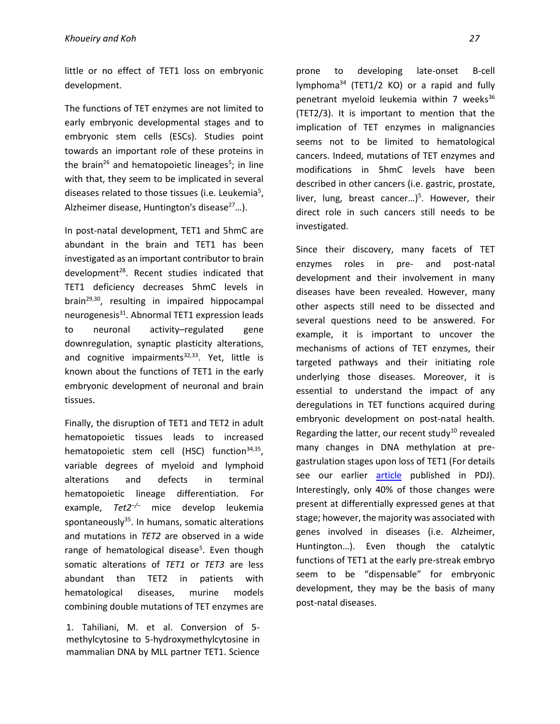little or no effect of TET1 loss on embryonic development.

The functions of TET enzymes are not limited to early embryonic developmental stages and to embryonic stem cells (ESCs). Studies point towards an important role of these proteins in the brain<sup>26</sup> and hematopoietic lineages<sup>5</sup>; in line with that, they seem to be implicated in several diseases related to those tissues (i.e. Leukemia<sup>5</sup>, Alzheimer disease, Huntington's disease $27...$ ).

In post-natal development, TET1 and 5hmC are abundant in the brain and TET1 has been investigated as an important contributor to brain development<sup>28</sup>. Recent studies indicated that TET1 deficiency decreases 5hmC levels in brain29,30, resulting in impaired hippocampal neurogenesis<sup>31</sup>. Abnormal TET1 expression leads to neuronal activity–regulated gene downregulation, synaptic plasticity alterations, and cognitive impairments $32,33$ . Yet, little is known about the functions of TET1 in the early embryonic development of neuronal and brain tissues.

Finally, the disruption of TET1 and TET2 in adult hematopoietic tissues leads to increased hematopoietic stem cell (HSC) function<sup>34,35</sup>, variable degrees of myeloid and lymphoid alterations and defects in terminal hematopoietic lineage differentiation. For example, *Tet2–/–* mice develop leukemia spontaneously $35$ . In humans, somatic alterations and mutations in *TET2* are observed in a wide range of hematological disease<sup>5</sup>. Even though somatic alterations of *TET1* or *TET3* are less abundant than TET2 in patients with hematological diseases, murine models combining double mutations of TET enzymes are

1. Tahiliani, M. et al. Conversion of 5 methylcytosine to 5-hydroxymethylcytosine in mammalian DNA by MLL partner TET1. Science

prone to developing late-onset B-cell lymphoma<sup>34</sup> (TET1/2 KO) or a rapid and fully penetrant myeloid leukemia within  $7$  weeks<sup>36</sup> (TET2/3). It is important to mention that the implication of TET enzymes in malignancies seems not to be limited to hematological cancers. Indeed, mutations of TET enzymes and modifications in 5hmC levels have been described in other cancers (i.e. gastric, prostate, liver, lung, breast cancer...)<sup>5</sup>. However, their direct role in such cancers still needs to be investigated.

Since their discovery, many facets of TET enzymes roles in pre- and post-natal development and their involvement in many diseases have been revealed. However, many other aspects still need to be dissected and several questions need to be answered. For example, it is important to uncover the mechanisms of actions of TET enzymes, their targeted pathways and their initiating role underlying those diseases. Moreover, it is essential to understand the impact of any deregulations in TET functions acquired during embryonic development on post-natal health. Regarding the latter, our recent study<sup>10</sup> revealed many changes in DNA methylation at pregastrulation stages upon loss of TET1 (For details see our earlier [article](http://www.postdocjournal.com/archives/2919/the-many-roles-of-tet1-in-the-post-implantation-mouse-embryo.htm) published in PDJ). Interestingly, only 40% of those changes were present at differentially expressed genes at that stage; however, the majority was associated with genes involved in diseases (i.e. Alzheimer, Huntington…). Even though the catalytic functions of TET1 at the early pre-streak embryo seem to be "dispensable" for embryonic development, they may be the basis of many post-natal diseases.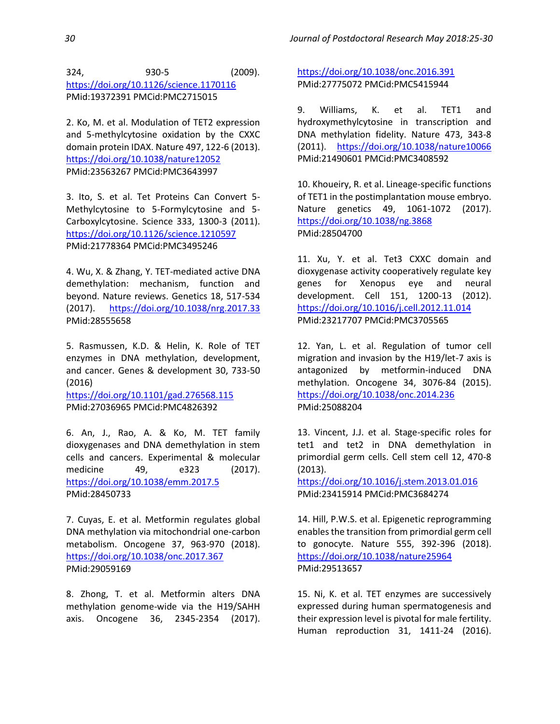324, 930-5 (2009). <https://doi.org/10.1126/science.1170116> PMid:19372391 PMCid:PMC2715015

2. Ko, M. et al. Modulation of TET2 expression and 5-methylcytosine oxidation by the CXXC domain protein IDAX. Nature 497, 122-6 (2013). <https://doi.org/10.1038/nature12052> PMid:23563267 PMCid:PMC3643997

3. Ito, S. et al. Tet Proteins Can Convert 5- Methylcytosine to 5-Formylcytosine and 5- Carboxylcytosine. Science 333, 1300-3 (2011). <https://doi.org/10.1126/science.1210597> PMid:21778364 PMCid:PMC3495246

4. Wu, X. & Zhang, Y. TET-mediated active DNA demethylation: mechanism, function and beyond. Nature reviews. Genetics 18, 517-534 (2017). <https://doi.org/10.1038/nrg.2017.33> PMid:28555658

5. Rasmussen, K.D. & Helin, K. Role of TET enzymes in DNA methylation, development, and cancer. Genes & development 30, 733-50 (2016)

<https://doi.org/10.1101/gad.276568.115> PMid:27036965 PMCid:PMC4826392

6. An, J., Rao, A. & Ko, M. TET family dioxygenases and DNA demethylation in stem cells and cancers. Experimental & molecular medicine 49, e323 (2017). <https://doi.org/10.1038/emm.2017.5> PMid:28450733

7. Cuyas, E. et al. Metformin regulates global DNA methylation via mitochondrial one-carbon metabolism. Oncogene 37, 963-970 (2018). <https://doi.org/10.1038/onc.2017.367> PMid:29059169

8. Zhong, T. et al. Metformin alters DNA methylation genome-wide via the H19/SAHH axis. Oncogene 36, 2345-2354 (2017).

<https://doi.org/10.1038/onc.2016.391> PMid:27775072 PMCid:PMC5415944

9. Williams, K. et al. TET1 and hydroxymethylcytosine in transcription and DNA methylation fidelity. Nature 473, 343-8 (2011). <https://doi.org/10.1038/nature10066> PMid:21490601 PMCid:PMC3408592

10. Khoueiry, R. et al. Lineage-specific functions of TET1 in the postimplantation mouse embryo. Nature genetics 49, 1061-1072 (2017). <https://doi.org/10.1038/ng.3868> PMid:28504700

11. Xu, Y. et al. Tet3 CXXC domain and dioxygenase activity cooperatively regulate key genes for Xenopus eye and neural development. Cell 151, 1200-13 (2012). <https://doi.org/10.1016/j.cell.2012.11.014> PMid:23217707 PMCid:PMC3705565

12. Yan, L. et al. Regulation of tumor cell migration and invasion by the H19/let-7 axis is antagonized by metformin-induced DNA methylation. Oncogene 34, 3076-84 (2015). <https://doi.org/10.1038/onc.2014.236> PMid:25088204

13. Vincent, J.J. et al. Stage-specific roles for tet1 and tet2 in DNA demethylation in primordial germ cells. Cell stem cell 12, 470-8 (2013).

<https://doi.org/10.1016/j.stem.2013.01.016> PMid:23415914 PMCid:PMC3684274

14. Hill, P.W.S. et al. Epigenetic reprogramming enables the transition from primordial germ cell to gonocyte. Nature 555, 392-396 (2018). <https://doi.org/10.1038/nature25964> PMid:29513657

15. Ni, K. et al. TET enzymes are successively expressed during human spermatogenesis and their expression level is pivotal for male fertility. Human reproduction 31, 1411-24 (2016).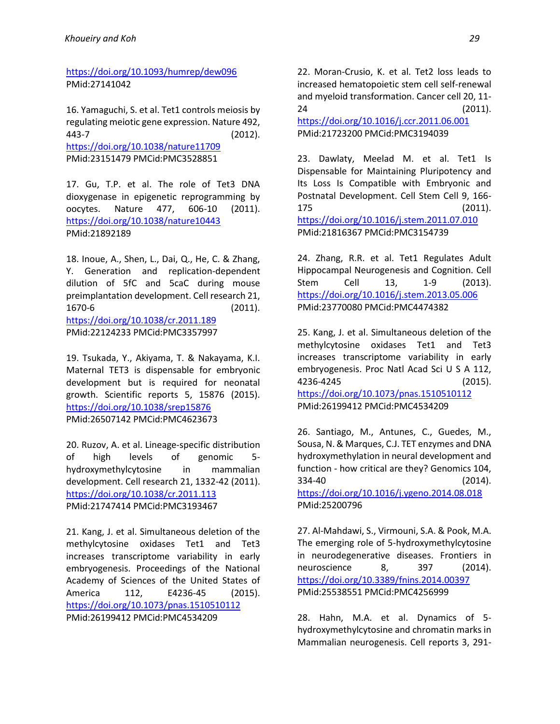<https://doi.org/10.1093/humrep/dew096> PMid:27141042

16. Yamaguchi, S. et al. Tet1 controls meiosis by regulating meiotic gene expression. Nature 492, 443-7 (2012). <https://doi.org/10.1038/nature11709> PMid:23151479 PMCid:PMC3528851

17. Gu, T.P. et al. The role of Tet3 DNA dioxygenase in epigenetic reprogramming by oocytes. Nature 477, 606-10 (2011). <https://doi.org/10.1038/nature10443> PMid:21892189

18. Inoue, A., Shen, L., Dai, Q., He, C. & Zhang, Y. Generation and replication-dependent dilution of 5fC and 5caC during mouse preimplantation development. Cell research 21, 1670-6 (2011). <https://doi.org/10.1038/cr.2011.189> PMid:22124233 PMCid:PMC3357997

19. Tsukada, Y., Akiyama, T. & Nakayama, K.I. Maternal TET3 is dispensable for embryonic development but is required for neonatal growth. Scientific reports 5, 15876 (2015). <https://doi.org/10.1038/srep15876> PMid:26507142 PMCid:PMC4623673

20. Ruzov, A. et al. Lineage-specific distribution of high levels of genomic 5 hydroxymethylcytosine in mammalian development. Cell research 21, 1332-42 (2011). <https://doi.org/10.1038/cr.2011.113> PMid:21747414 PMCid:PMC3193467

21. Kang, J. et al. Simultaneous deletion of the methylcytosine oxidases Tet1 and Tet3 increases transcriptome variability in early embryogenesis. Proceedings of the National Academy of Sciences of the United States of America 112, E4236-45 (2015). <https://doi.org/10.1073/pnas.1510510112> PMid:26199412 PMCid:PMC4534209

22. Moran-Crusio, K. et al. Tet2 loss leads to increased hematopoietic stem cell self-renewal and myeloid transformation. Cancer cell 20, 11- 24 (2011).

<https://doi.org/10.1016/j.ccr.2011.06.001> PMid:21723200 PMCid:PMC3194039

23. Dawlaty, Meelad M. et al. Tet1 Is Dispensable for Maintaining Pluripotency and Its Loss Is Compatible with Embryonic and Postnatal Development. Cell Stem Cell 9, 166- 175 (2011). <https://doi.org/10.1016/j.stem.2011.07.010> PMid:21816367 PMCid:PMC3154739

24. Zhang, R.R. et al. Tet1 Regulates Adult Hippocampal Neurogenesis and Cognition. Cell Stem Cell 13, 1-9 (2013). <https://doi.org/10.1016/j.stem.2013.05.006> PMid:23770080 PMCid:PMC4474382

25. Kang, J. et al. Simultaneous deletion of the methylcytosine oxidases Tet1 and Tet3 increases transcriptome variability in early embryogenesis. Proc Natl Acad Sci U S A 112, 4236-4245 (2015). <https://doi.org/10.1073/pnas.1510510112> PMid:26199412 PMCid:PMC4534209

26. Santiago, M., Antunes, C., Guedes, M., Sousa, N. & Marques, C.J. TET enzymes and DNA hydroxymethylation in neural development and function - how critical are they? Genomics 104, 334-40 (2014). <https://doi.org/10.1016/j.ygeno.2014.08.018> PMid:25200796

27. Al-Mahdawi, S., Virmouni, S.A. & Pook, M.A. The emerging role of 5-hydroxymethylcytosine in neurodegenerative diseases. Frontiers in neuroscience 8, 397 (2014). <https://doi.org/10.3389/fnins.2014.00397> PMid:25538551 PMCid:PMC4256999

28. Hahn, M.A. et al. Dynamics of 5 hydroxymethylcytosine and chromatin marks in Mammalian neurogenesis. Cell reports 3, 291-